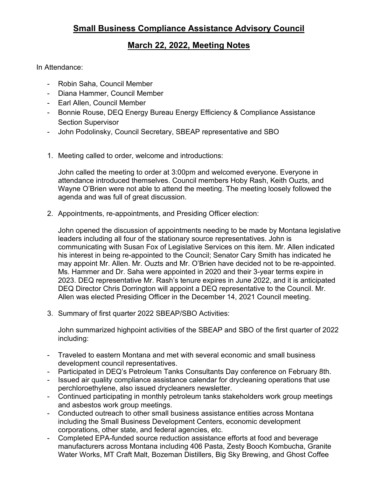## **March 22, 2022, Meeting Notes**

In Attendance:

- Robin Saha, Council Member
- Diana Hammer, Council Member
- Earl Allen, Council Member
- Bonnie Rouse, DEQ Energy Bureau Energy Efficiency & Compliance Assistance Section Supervisor
- John Podolinsky, Council Secretary, SBEAP representative and SBO
- 1. Meeting called to order, welcome and introductions:

John called the meeting to order at 3:00pm and welcomed everyone. Everyone in attendance introduced themselves. Council members Hoby Rash, Keith Ouzts, and Wayne O'Brien were not able to attend the meeting. The meeting loosely followed the agenda and was full of great discussion.

2. Appointments, re-appointments, and Presiding Officer election:

John opened the discussion of appointments needing to be made by Montana legislative leaders including all four of the stationary source representatives. John is communicating with Susan Fox of Legislative Services on this item. Mr. Allen indicated his interest in being re-appointed to the Council; Senator Cary Smith has indicated he may appoint Mr. Allen. Mr. Ouzts and Mr. O'Brien have decided not to be re-appointed. Ms. Hammer and Dr. Saha were appointed in 2020 and their 3-year terms expire in 2023. DEQ representative Mr. Rash's tenure expires in June 2022, and it is anticipated DEQ Director Chris Dorrington will appoint a DEQ representative to the Council. Mr. Allen was elected Presiding Officer in the December 14, 2021 Council meeting.

3. Summary of first quarter 2022 SBEAP/SBO Activities:

John summarized highpoint activities of the SBEAP and SBO of the first quarter of 2022 including:

- Traveled to eastern Montana and met with several economic and small business development council representatives.
- Participated in DEQ's Petroleum Tanks Consultants Day conference on February 8th.
- Issued air quality compliance assistance calendar for drycleaning operations that use perchloroethylene, also issued drycleaners newsletter.
- Continued participating in monthly petroleum tanks stakeholders work group meetings and asbestos work group meetings.
- Conducted outreach to other small business assistance entities across Montana including the Small Business Development Centers, economic development corporations, other state, and federal agencies, etc.
- Completed EPA-funded source reduction assistance efforts at food and beverage manufacturers across Montana including 406 Pasta, Zesty Booch Kombucha, Granite Water Works, MT Craft Malt, Bozeman Distillers, Big Sky Brewing, and Ghost Coffee